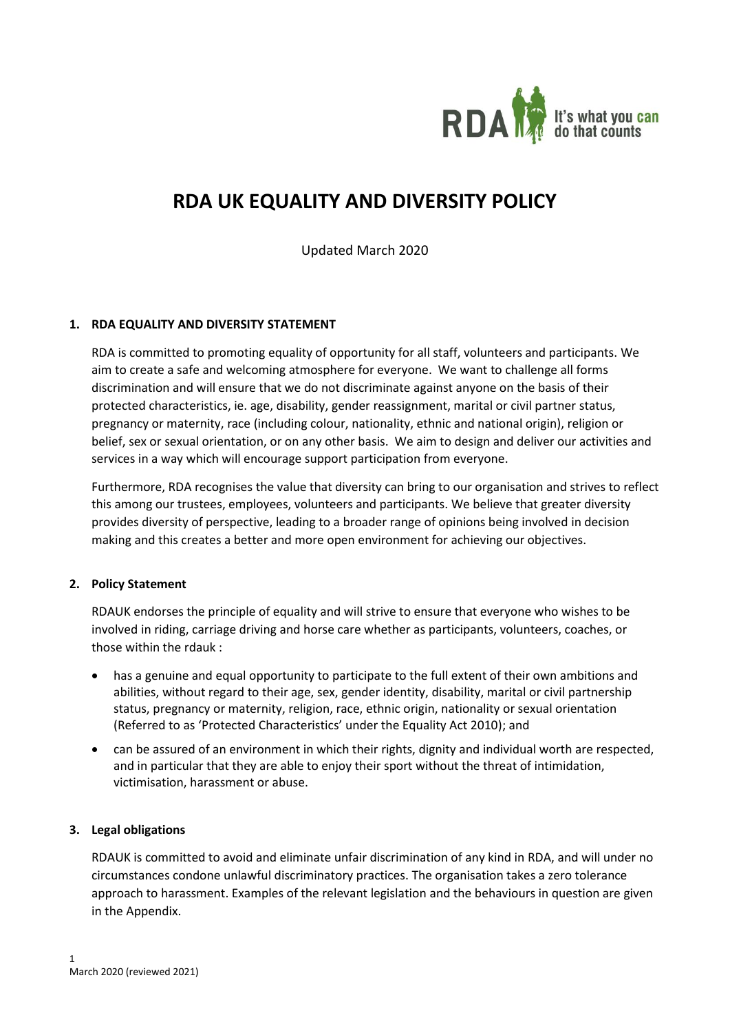

# **RDA UK EQUALITY AND DIVERSITY POLICY**

Updated March 2020

## **1. RDA EQUALITY AND DIVERSITY STATEMENT**

RDA is committed to promoting equality of opportunity for all staff, volunteers and participants. We aim to create a safe and welcoming atmosphere for everyone. We want to challenge all forms discrimination and will ensure that we do not discriminate against anyone on the basis of their protected characteristics, ie. age, disability, gender reassignment, marital or civil partner status, pregnancy or maternity, race (including colour, nationality, ethnic and national origin), religion or belief, sex or sexual orientation, or on any other basis. We aim to design and deliver our activities and services in a way which will encourage support participation from everyone.

Furthermore, RDA recognises the value that diversity can bring to our organisation and strives to reflect this among our trustees, employees, volunteers and participants. We believe that greater diversity provides diversity of perspective, leading to a broader range of opinions being involved in decision making and this creates a better and more open environment for achieving our objectives.

## **2. Policy Statement**

RDAUK endorses the principle of equality and will strive to ensure that everyone who wishes to be involved in riding, carriage driving and horse care whether as participants, volunteers, coaches, or those within the rdauk :

- has a genuine and equal opportunity to participate to the full extent of their own ambitions and abilities, without regard to their age, sex, gender identity, disability, marital or civil partnership status, pregnancy or maternity, religion, race, ethnic origin, nationality or sexual orientation (Referred to as 'Protected Characteristics' under the Equality Act 2010); and
- can be assured of an environment in which their rights, dignity and individual worth are respected, and in particular that they are able to enjoy their sport without the threat of intimidation, victimisation, harassment or abuse.

## **3. Legal obligations**

RDAUK is committed to avoid and eliminate unfair discrimination of any kind in RDA, and will under no circumstances condone unlawful discriminatory practices. The organisation takes a zero tolerance approach to harassment. Examples of the relevant legislation and the behaviours in question are given in the Appendix.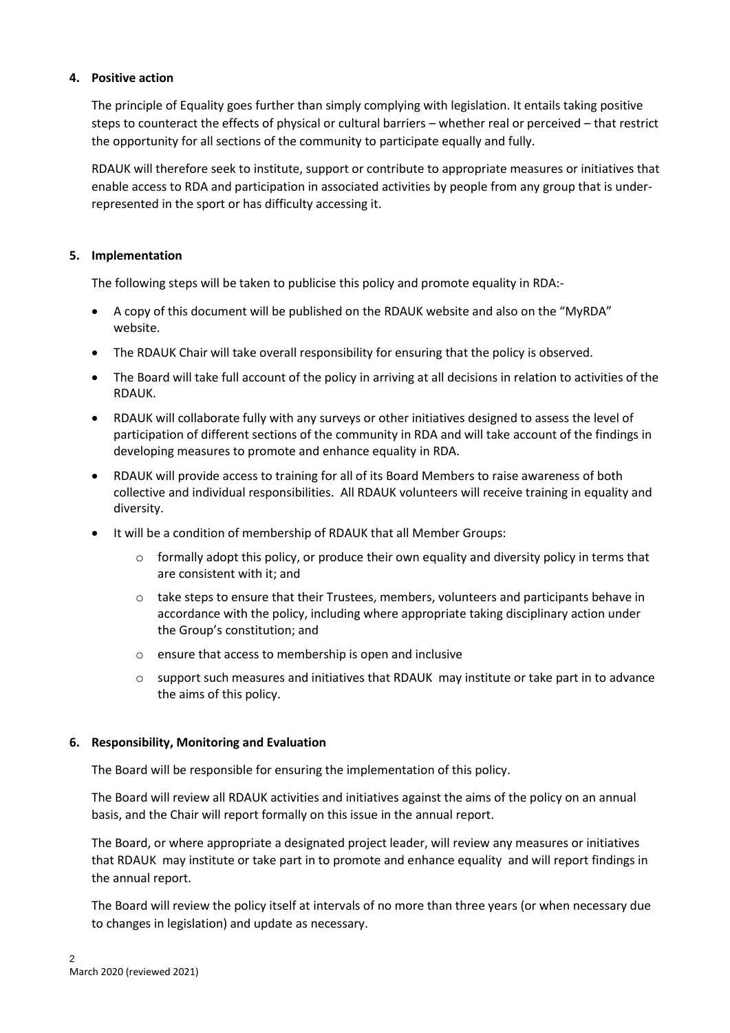## **4. Positive action**

The principle of Equality goes further than simply complying with legislation. It entails taking positive steps to counteract the effects of physical or cultural barriers – whether real or perceived – that restrict the opportunity for all sections of the community to participate equally and fully.

RDAUK will therefore seek to institute, support or contribute to appropriate measures or initiatives that enable access to RDA and participation in associated activities by people from any group that is underrepresented in the sport or has difficulty accessing it.

## **5. Implementation**

The following steps will be taken to publicise this policy and promote equality in RDA:-

- A copy of this document will be published on the RDAUK website and also on the "MyRDA" website.
- The RDAUK Chair will take overall responsibility for ensuring that the policy is observed.
- The Board will take full account of the policy in arriving at all decisions in relation to activities of the RDAUK.
- RDAUK will collaborate fully with any surveys or other initiatives designed to assess the level of participation of different sections of the community in RDA and will take account of the findings in developing measures to promote and enhance equality in RDA.
- RDAUK will provide access to training for all of its Board Members to raise awareness of both collective and individual responsibilities. All RDAUK volunteers will receive training in equality and diversity.
- It will be a condition of membership of RDAUK that all Member Groups:
	- $\circ$  formally adopt this policy, or produce their own equality and diversity policy in terms that are consistent with it; and
	- o take steps to ensure that their Trustees, members, volunteers and participants behave in accordance with the policy, including where appropriate taking disciplinary action under the Group's constitution; and
	- o ensure that access to membership is open and inclusive
	- $\circ$  support such measures and initiatives that RDAUK may institute or take part in to advance the aims of this policy.

## **6. Responsibility, Monitoring and Evaluation**

The Board will be responsible for ensuring the implementation of this policy.

The Board will review all RDAUK activities and initiatives against the aims of the policy on an annual basis, and the Chair will report formally on this issue in the annual report.

The Board, or where appropriate a designated project leader, will review any measures or initiatives that RDAUK may institute or take part in to promote and enhance equality and will report findings in the annual report.

The Board will review the policy itself at intervals of no more than three years (or when necessary due to changes in legislation) and update as necessary.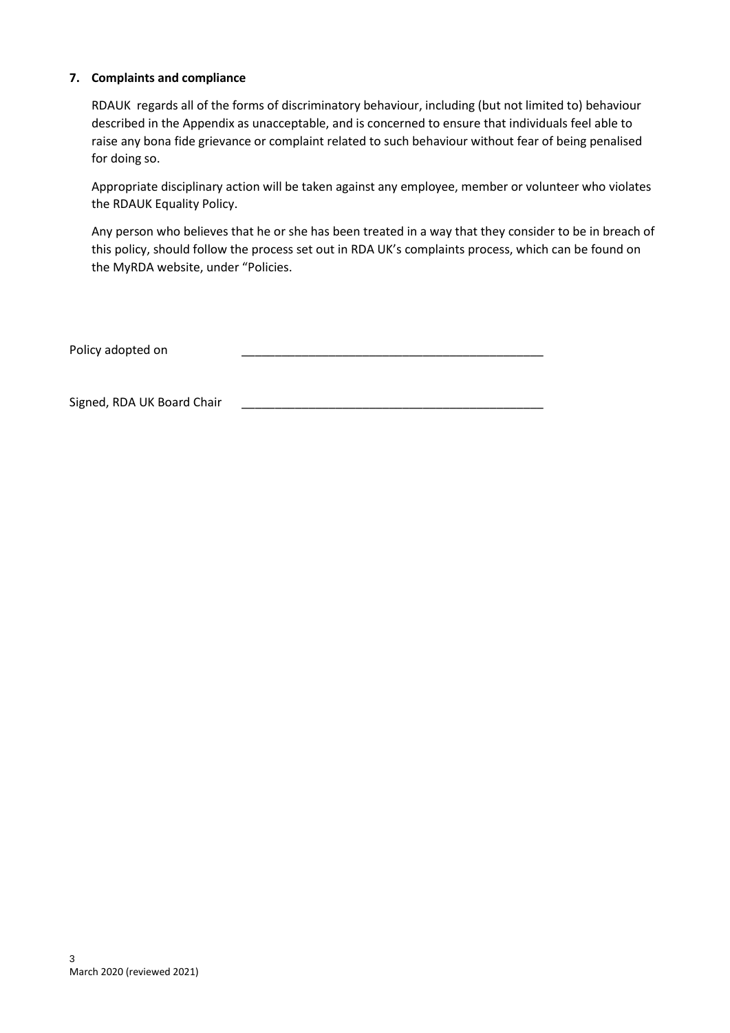## **7. Complaints and compliance**

RDAUK regards all of the forms of discriminatory behaviour, including (but not limited to) behaviour described in the Appendix as unacceptable, and is concerned to ensure that individuals feel able to raise any bona fide grievance or complaint related to such behaviour without fear of being penalised for doing so.

Appropriate disciplinary action will be taken against any employee, member or volunteer who violates the RDAUK Equality Policy.

Any person who believes that he or she has been treated in a way that they consider to be in breach of this policy, should follow the process set out in RDA UK's complaints process, which can be found on the MyRDA website, under "Policies.

| Policy adopted on |  |
|-------------------|--|
|-------------------|--|

Signed, RDA UK Board Chair